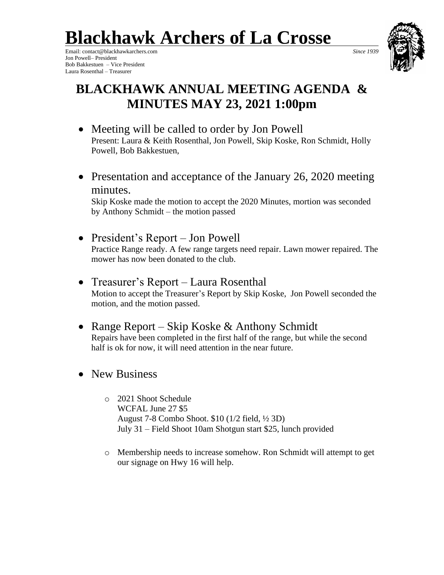# **Blackhawk Archers of La Crosse**

Email: contact@blackhawkarchers.com *Since 1939* Jon Powell– President Bob Bakkestuen – Vice President Laura Rosenthal – Treasurer



## **BLACKHAWK ANNUAL MEETING AGENDA & MINUTES MAY 23, 2021 1:00pm**

- Meeting will be called to order by Jon Powell Present: Laura & Keith Rosenthal, Jon Powell, Skip Koske, Ron Schmidt, Holly Powell, Bob Bakkestuen,
- Presentation and acceptance of the January 26, 2020 meeting minutes.

Skip Koske made the motion to accept the 2020 Minutes, mortion was seconded by Anthony Schmidt – the motion passed

• President's Report – Jon Powell Practice Range ready. A few range targets need repair. Lawn mower repaired. The mower has now been donated to the club.

### • Treasurer's Report – Laura Rosenthal Motion to accept the Treasurer's Report by Skip Koske, Jon Powell seconded the motion, and the motion passed.

- Range Report Skip Koske & Anthony Schmidt Repairs have been completed in the first half of the range, but while the second half is ok for now, it will need attention in the near future.
- New Business
	- o 2021 Shoot Schedule WCFAL June 27 \$5 August 7-8 Combo Shoot. \$10 (1/2 field, ½ 3D) July 31 – Field Shoot 10am Shotgun start \$25, lunch provided
	- o Membership needs to increase somehow. Ron Schmidt will attempt to get our signage on Hwy 16 will help.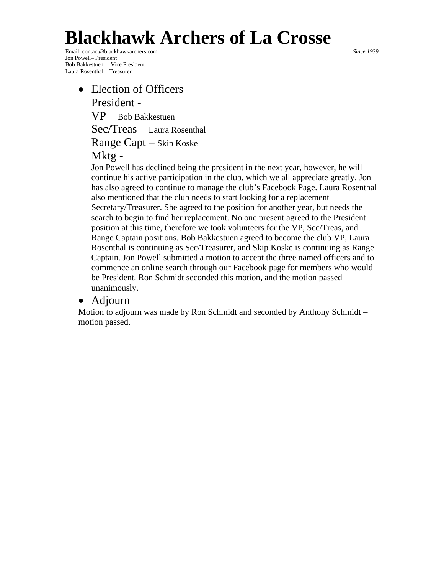# **Blackhawk Archers of La Crosse**

Email: contact@blackhawkarchers.com *Since 1939* Jon Powell– President Bob Bakkestuen – Vice President Laura Rosenthal – Treasurer

• Election of Officers President -  $VP - Bob$  Bakkestuen Sec/Treas – Laura Rosenthal Range Capt – Skip Koske Mktg -

Jon Powell has declined being the president in the next year, however, he will continue his active participation in the club, which we all appreciate greatly. Jon has also agreed to continue to manage the club's Facebook Page. Laura Rosenthal also mentioned that the club needs to start looking for a replacement Secretary/Treasurer. She agreed to the position for another year, but needs the search to begin to find her replacement. No one present agreed to the President position at this time, therefore we took volunteers for the VP, Sec/Treas, and Range Captain positions. Bob Bakkestuen agreed to become the club VP, Laura Rosenthal is continuing as Sec/Treasurer, and Skip Koske is continuing as Range Captain. Jon Powell submitted a motion to accept the three named officers and to commence an online search through our Facebook page for members who would be President. Ron Schmidt seconded this motion, and the motion passed unanimously.

### • Adjourn

Motion to adjourn was made by Ron Schmidt and seconded by Anthony Schmidt – motion passed.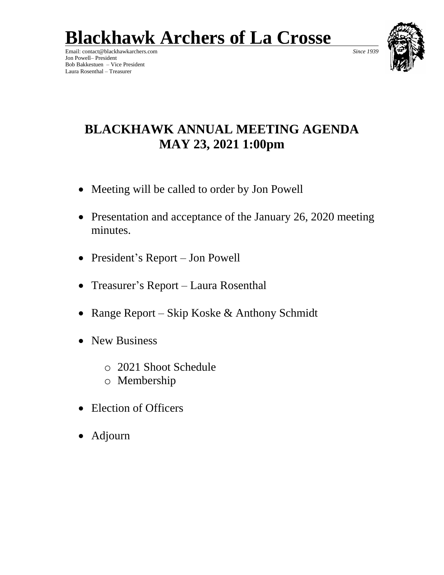# **Blackhawk Archers of La Crosse**

Email: contact@blackhawkarchers.com *Since 1939* Jon Powell– President Bob Bakkestuen – Vice President Laura Rosenthal – Treasurer



## **BLACKHAWK ANNUAL MEETING AGENDA MAY 23, 2021 1:00pm**

- Meeting will be called to order by Jon Powell
- Presentation and acceptance of the January 26, 2020 meeting minutes.
- President's Report Jon Powell
- Treasurer's Report Laura Rosenthal
- Range Report Skip Koske & Anthony Schmidt
- New Business
	- o 2021 Shoot Schedule
	- o Membership
- Election of Officers
- Adjourn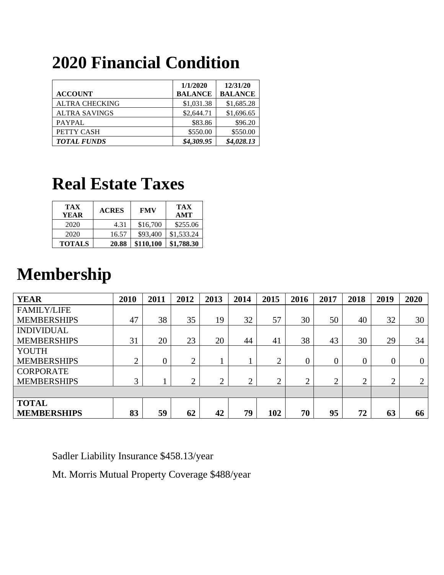## **2020 Financial Condition**

|                       | 1/1/2020       | 12/31/20       |
|-----------------------|----------------|----------------|
| <b>ACCOUNT</b>        | <b>BALANCE</b> | <b>BALANCE</b> |
| <b>ALTRA CHECKING</b> | \$1,031.38     | \$1,685.28     |
| <b>ALTRA SAVINGS</b>  | \$2,644.71     | \$1,696.65     |
| PAYPAL                | \$83.86        | \$96.20        |
| PETTY CASH            | \$550.00       | \$550.00       |
| <b>TOTAL FUNDS</b>    | \$4,309.95     | \$4,028.13     |

## **Real Estate Taxes**

| <b>TAX</b><br><b>YEAR</b> | <b>ACRES</b> | <b>FMV</b> | <b>TAX</b><br>AMT |
|---------------------------|--------------|------------|-------------------|
| 2020                      | 4.31         | \$16,700   | \$255.06          |
| 2020                      | 16.57        | \$93,400   | \$1,533.24        |
| <b>TOTALS</b>             | 20.88        | \$110,100  | \$1,788.30        |

## **Membership**

| <b>YEAR</b>        | 2010           | 2011           | 2012           | 2013 | 2014 | 2015       | 2016      | 2017           | 2018           | 2019   | 2020           |
|--------------------|----------------|----------------|----------------|------|------|------------|-----------|----------------|----------------|--------|----------------|
| <b>FAMILY/LIFE</b> |                |                |                |      |      |            |           |                |                |        |                |
| <b>MEMBERSHIPS</b> | 47             | 38             | 35             | 19   | 32   | 57         | 30        | 50             | 40             | 32     | 30             |
| <b>INDIVIDUAL</b>  |                |                |                |      |      |            |           |                |                |        |                |
| <b>MEMBERSHIPS</b> | 31             | 20             | 23             | 20   | 44   | 41         | 38        | 43             | 30             | 29     | 34             |
| <b>YOUTH</b>       |                |                |                |      |      |            |           |                |                |        |                |
| <b>MEMBERSHIPS</b> | $\overline{2}$ | $\overline{0}$ | $\overline{2}$ |      |      | $\bigcirc$ | 0         | $\overline{0}$ | $\overline{0}$ | 0      | $\overline{0}$ |
| <b>CORPORATE</b>   |                |                |                |      |      |            |           |                |                |        |                |
| <b>MEMBERSHIPS</b> | 3              |                | $\overline{2}$ | ◠    | ↑    | ↑<br>∠     | $\bigcap$ | $\overline{2}$ | ◠              | ↑<br>∠ | $\overline{2}$ |
|                    |                |                |                |      |      |            |           |                |                |        |                |
| <b>TOTAL</b>       |                |                |                |      |      |            |           |                |                |        |                |
| <b>MEMBERSHIPS</b> | 83             | 59             | 62             | 42   | 79   | 102        | 70        | 95             | 72             | 63     | 66             |

Sadler Liability Insurance \$458.13/year

Mt. Morris Mutual Property Coverage \$488/year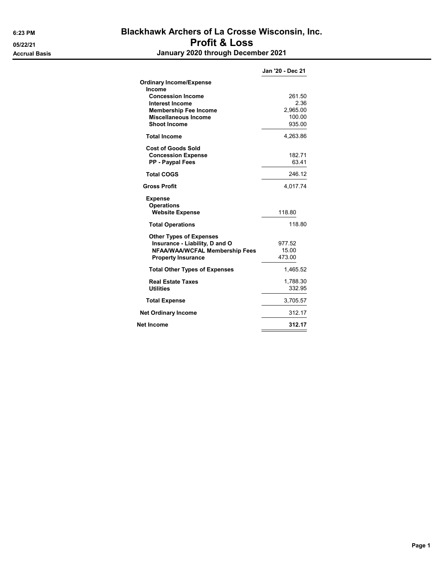### 6:23 PM Blackhawk Archers of La Crosse Wisconsin, Inc. 05/22/21 **Profit & Loss** Accrual Basis January 2020 through December 2021

|                                                    | Jan '20 - Dec 21 |
|----------------------------------------------------|------------------|
| <b>Ordinary Income/Expense</b>                     |                  |
| Income                                             |                  |
| <b>Concession Income</b><br><b>Interest Income</b> | 261.50<br>2.36   |
| <b>Membership Fee Income</b>                       | 2,965.00         |
| Miscellaneous Income                               | 100.00           |
| <b>Shoot Income</b>                                | 935.00           |
| <b>Total Income</b>                                | 4,263.86         |
| <b>Cost of Goods Sold</b>                          |                  |
| <b>Concession Expense</b>                          | 182.71           |
| <b>PP - Paypal Fees</b>                            | 63.41            |
| <b>Total COGS</b>                                  | 246.12           |
| <b>Gross Profit</b>                                | 4,017.74         |
| <b>Expense</b>                                     |                  |
| <b>Operations</b>                                  |                  |
| <b>Website Expense</b>                             | 118.80           |
| <b>Total Operations</b>                            | 118.80           |
| <b>Other Types of Expenses</b>                     |                  |
| Insurance - Liability, D and O                     | 977.52           |
| <b>NFAA/WAA/WCFAL Membership Fees</b>              | 15.00<br>473.00  |
| <b>Property Insurance</b>                          |                  |
| <b>Total Other Types of Expenses</b>               | 1,465.52         |
| <b>Real Estate Taxes</b>                           | 1,788.30         |
| <b>Utilities</b>                                   | 332.95           |
| <b>Total Expense</b>                               | 3,705.57         |
| <b>Net Ordinary Income</b>                         | 312.17           |
| Net Income                                         | 312.17           |
|                                                    |                  |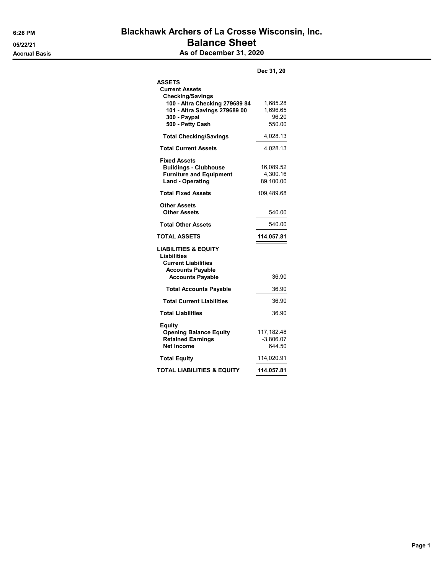### 6:26 PM Blackhawk Archers of La Crosse Wisconsin, Inc. 05/22/21 **Balance Sheet** Accrual Basis **Accrual Basis** As of December 31, 2020

|                                                                                                                  | Dec 31, 20                              |
|------------------------------------------------------------------------------------------------------------------|-----------------------------------------|
| <b>ASSETS</b><br><b>Current Assets</b><br><b>Checking/Savings</b>                                                |                                         |
| 100 - Altra Checking 279689 84<br>101 - Altra Savings 279689 00<br>300 - Paypal<br>500 - Petty Cash              | 1,685.28<br>1,696.65<br>96.20<br>550.00 |
| <b>Total Checking/Savings</b>                                                                                    | 4,028.13                                |
| <b>Total Current Assets</b>                                                                                      | 4,028.13                                |
| <b>Fixed Assets</b><br><b>Buildings - Clubhouse</b><br><b>Furniture and Equipment</b><br><b>Land - Operating</b> | 16,089.52<br>4,300.16<br>89,100.00      |
| <b>Total Fixed Assets</b>                                                                                        | 109,489.68                              |
| <b>Other Assets</b><br><b>Other Assets</b>                                                                       | 540.00                                  |
| <b>Total Other Assets</b>                                                                                        | 540.00                                  |
| <b>TOTAL ASSETS</b>                                                                                              | 114,057.81                              |
| <b>LIABILITIES &amp; EQUITY</b><br><b>Liabilities</b><br><b>Current Liabilities</b><br><b>Accounts Payable</b>   |                                         |
| <b>Accounts Payable</b>                                                                                          | 36.90                                   |
| <b>Total Accounts Payable</b>                                                                                    | 36.90                                   |
| <b>Total Current Liabilities</b>                                                                                 | 36.90                                   |
| <b>Total Liabilities</b>                                                                                         | 36.90                                   |
| Equity<br><b>Opening Balance Equity</b><br><b>Retained Earnings</b><br><b>Net Income</b>                         | 117,182.48<br>$-3,806.07$<br>644.50     |
| <b>Total Equity</b>                                                                                              | 114,020.91                              |
| TOTAL LIABILITIES & EQUITY                                                                                       | 114,057.81                              |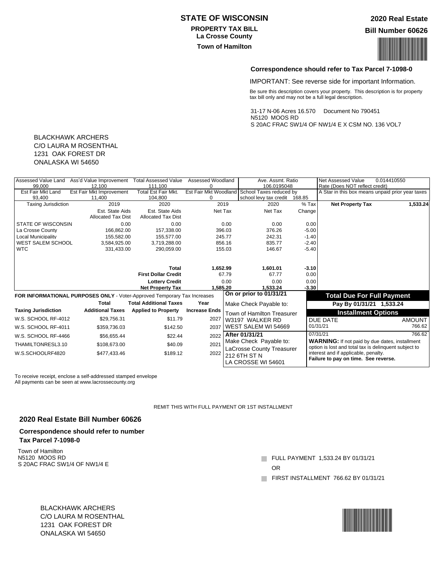#### **STATE OF WISCONSIN**

#### **PROPERTY TAX BILL La Crosse County**

#### **2020 Real Estate**

**Bill Number 60626**

# **Town of Hamilton**<br>Town of Hamilton

#### **Correspondence should refer to Tax Parcel 7-1098-0**

IMPORTANT: See reverse side for important Information.

Be sure this description covers your property. This description is for property tax bill only and may not be a full legal description.

31-17 N-06 Acres 16.570 Document No 790451 N5120 MOOS RD S 20AC FRAC SW1/4 OF NW1/4 E X CSM NO. 136 VOL7

#### BLACKHAWK ARCHERS C/O LAURA M ROSENTHAL 1231 OAK FOREST DR ONALASKA WI 54650

| Assessed Value Land        | Ass'd Value Improvement                                                  | <b>Total Assessed Value</b>   | Assessed Woodland    |        | Ave. Assmt. Ratio                             |         | Net Assessed Value                                    | 0.014410550                                      |
|----------------------------|--------------------------------------------------------------------------|-------------------------------|----------------------|--------|-----------------------------------------------|---------|-------------------------------------------------------|--------------------------------------------------|
| 99.000                     | 12.100                                                                   | 111,100                       | 0                    |        | 106.0195048                                   |         | Rate (Does NOT reflect credit)                        |                                                  |
| Est Fair Mkt Land          | <b>Est Fair Mkt Improvement</b>                                          | <b>Total Est Fair Mkt.</b>    |                      |        | Est Fair Mkt Woodland School Taxes reduced by |         |                                                       | A Star in this box means unpaid prior year taxes |
| 93,400                     | 11,400                                                                   | 104,800                       | 0                    |        | school levy tax credit 168.85                 |         |                                                       |                                                  |
| <b>Taxing Jurisdiction</b> | 2019                                                                     | 2020                          | 2019                 |        | 2020                                          | $%$ Tax | <b>Net Property Tax</b>                               | 1,533.24                                         |
|                            | Est. State Aids                                                          | Est. State Aids               | Net Tax              |        | Net Tax                                       | Change  |                                                       |                                                  |
|                            | <b>Allocated Tax Dist</b>                                                | <b>Allocated Tax Dist</b>     |                      |        |                                               |         |                                                       |                                                  |
| <b>STATE OF WISCONSIN</b>  | 0.00                                                                     | 0.00                          |                      | 0.00   | 0.00                                          | 0.00    |                                                       |                                                  |
| La Crosse County           | 166.862.00                                                               | 157.338.00                    |                      | 396.03 | 376.26                                        | $-5.00$ |                                                       |                                                  |
| Local Municipality         | 155.582.00                                                               | 155.577.00                    |                      | 245.77 | 242.31                                        | $-1.40$ |                                                       |                                                  |
| <b>WEST SALEM SCHOOL</b>   | 3.584.925.00                                                             | 3.719.288.00                  |                      | 856.16 | 835.77                                        | $-2.40$ |                                                       |                                                  |
| <b>WTC</b>                 | 331,433.00                                                               | 290,059.00                    |                      | 155.03 | 146.67                                        | $-5.40$ |                                                       |                                                  |
|                            |                                                                          |                               |                      |        |                                               |         |                                                       |                                                  |
|                            |                                                                          |                               |                      |        |                                               |         |                                                       |                                                  |
|                            |                                                                          | <b>Total</b>                  | 1,652.99             |        | 1,601.01                                      | $-3.10$ |                                                       |                                                  |
|                            |                                                                          | <b>First Dollar Credit</b>    |                      | 67.79  | 67.77                                         | 0.00    |                                                       |                                                  |
|                            |                                                                          | <b>Lottery Credit</b>         |                      | 0.00   | 0.00                                          | 0.00    |                                                       |                                                  |
|                            |                                                                          | <b>Net Property Tax</b>       | 1.585.20             |        | 1.533.24                                      | $-3.30$ |                                                       |                                                  |
|                            | FOR INFORMATIONAL PURPOSES ONLY - Voter-Approved Temporary Tax Increases |                               |                      |        | On or prior to 01/31/21                       |         | <b>Total Due For Full Payment</b>                     |                                                  |
|                            | <b>Total</b>                                                             | <b>Total Additional Taxes</b> | Year                 |        | Make Check Payable to:                        |         | Pay By 01/31/21 1,533.24                              |                                                  |
| <b>Taxing Jurisdiction</b> | <b>Additional Taxes</b>                                                  | <b>Applied to Property</b>    | <b>Increase Ends</b> |        |                                               |         |                                                       |                                                  |
|                            |                                                                          |                               |                      |        | Town of Hamilton Treasurer                    |         | <b>Installment Options</b>                            |                                                  |
| W.S. SCHOOL RF-4012        | \$29,756.31                                                              | \$11.79                       | 2027                 |        | W3197 WALKER RD                               |         | DUE DATE                                              | AMOUNT                                           |
| W.S. SCHOOL RF-4011        | \$359,736.03                                                             | \$142.50                      | 2037                 |        | WEST SALEM WI 54669                           |         | 01/31/21                                              | 766.62                                           |
| W.S. SCHOOL RF-4466        | \$56,655.44                                                              | \$22.44                       | 2022                 |        | After 01/31/21                                |         | 07/31/21                                              | 766.62                                           |
|                            |                                                                          |                               |                      |        | Make Check Payable to:                        |         | <b>WARNING:</b> If not paid by due dates, installment |                                                  |
| THAMILTONRESL3.10          | \$108,673.00                                                             | \$40.09                       | 2021                 |        |                                               |         | option is lost and total tax is delinquent subject to |                                                  |
| W.S.SCHOOLRF4820           | \$477,433.46                                                             | \$189.12                      | 2022                 |        | LaCrosse County Treasurer                     |         | interest and if applicable, penalty.                  |                                                  |
|                            |                                                                          |                               |                      |        | 212 6TH ST N                                  |         | Failure to pay on time. See reverse.                  |                                                  |
|                            |                                                                          |                               |                      |        | LA CROSSE WI 54601                            |         |                                                       |                                                  |
|                            |                                                                          |                               |                      |        |                                               |         |                                                       |                                                  |

To receive receipt, enclose a self-addressed stamped envelope All payments can be seen at www.lacrossecounty.org

REMIT THIS WITH FULL PAYMENT OR 1ST INSTALLMENT

#### **2020 Real Estate Bill Number 60626**

#### **Correspondence should refer to number Tax Parcel 7-1098-0**

Town of Hamilton N5120 MOOS RD S 20AC FRAC SW1/4 OF NW1/4 E

**FULL PAYMENT 1,533.24 BY 01/31/21** 

OR

FIRST INSTALLMENT 766.62 BY 01/31/21

BLACKHAWK ARCHERS C/O LAURA M ROSENTHAL 1231 OAK FOREST DR ONALASKA WI 54650